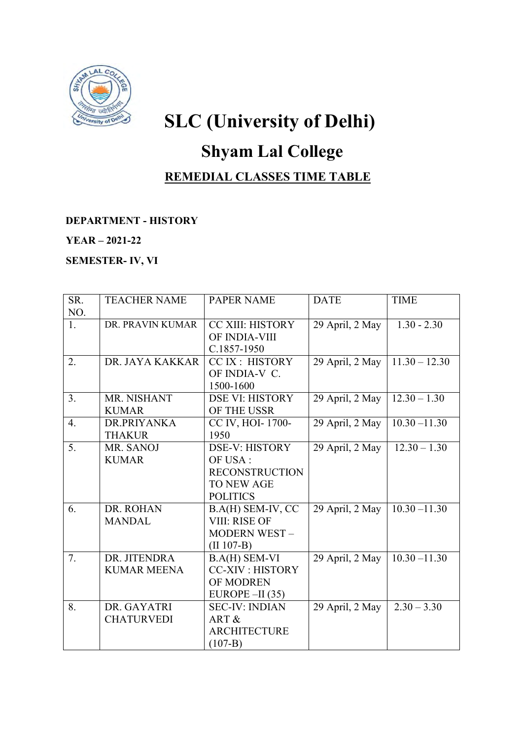

# **SLC (University of Delhi)**

## **Shyam Lal College**

### **REMEDIAL CLASSES TIME TABLE**

#### **DEPARTMENT - HISTORY**

#### **YEAR – 2021-22**

**SEMESTER- IV, VI** 

| SR.            | <b>TEACHER NAME</b> | <b>PAPER NAME</b>       | <b>DATE</b>                  | <b>TIME</b>     |
|----------------|---------------------|-------------------------|------------------------------|-----------------|
| NO.            |                     |                         |                              |                 |
| 1.             | DR. PRAVIN KUMAR    | <b>CC XIII: HISTORY</b> | 29 April, 2 May              | $1.30 - 2.30$   |
|                |                     | OF INDIA-VIII           |                              |                 |
|                |                     | C.1857-1950             |                              |                 |
| 2.             | DR. JAYA KAKKAR     | CC IX : HISTORY         | 29 April, 2 May              | $11.30 - 12.30$ |
|                |                     | OF INDIA-V C.           |                              |                 |
|                |                     | 1500-1600               |                              |                 |
| 3 <sub>1</sub> | MR. NISHANT         | <b>DSE VI: HISTORY</b>  | 29 April, 2 May              | $12.30 - 1.30$  |
|                | <b>KUMAR</b>        | OF THE USSR             |                              |                 |
| 4.             | DR.PRIYANKA         | CC IV, HOI-1700-        | 29 April, 2 May              | $10.30 - 11.30$ |
|                | <b>THAKUR</b>       | 1950                    |                              |                 |
| 5.             | MR. SANOJ           | <b>DSE-V: HISTORY</b>   | 29 April, 2 May              | $12.30 - 1.30$  |
|                | <b>KUMAR</b>        | OF USA:                 |                              |                 |
|                |                     | <b>RECONSTRUCTION</b>   |                              |                 |
|                |                     | <b>TO NEW AGE</b>       |                              |                 |
|                |                     | <b>POLITICS</b>         |                              |                 |
| 6.             | DR. ROHAN           | B.A(H) SEM-IV, CC       | 29 April, 2 May              | $10.30 - 11.30$ |
|                | <b>MANDAL</b>       | VIII: RISE OF           |                              |                 |
|                |                     | <b>MODERN WEST-</b>     |                              |                 |
|                |                     | $(II 107-B)$            |                              |                 |
| 7.             | DR. JITENDRA        | <b>B.A(H) SEM-VI</b>    | $\overline{29}$ April, 2 May | $10.30 - 11.30$ |
|                | <b>KUMAR MEENA</b>  | <b>CC-XIV: HISTORY</b>  |                              |                 |
|                |                     | OF MODREN               |                              |                 |
|                |                     | EUROPE $-II(35)$        |                              |                 |
| 8.             | DR. GAYATRI         | <b>SEC-IV: INDIAN</b>   | 29 April, 2 May              | $2.30 - 3.30$   |
|                | <b>CHATURVEDI</b>   | ART &                   |                              |                 |
|                |                     | <b>ARCHITECTURE</b>     |                              |                 |
|                |                     | $(107-B)$               |                              |                 |